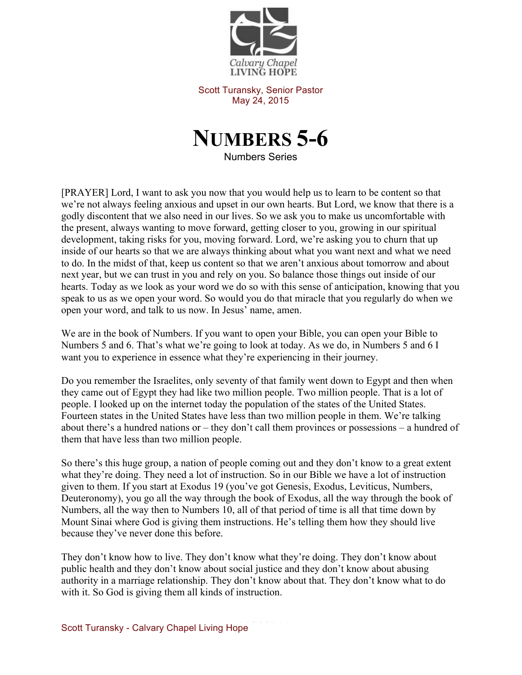

Scott Turansky, Senior Pastor May 24, 2015



Numbers Series

[PRAYER] Lord, I want to ask you now that you would help us to learn to be content so that we're not always feeling anxious and upset in our own hearts. But Lord, we know that there is a godly discontent that we also need in our lives. So we ask you to make us uncomfortable with the present, always wanting to move forward, getting closer to you, growing in our spiritual development, taking risks for you, moving forward. Lord, we're asking you to churn that up inside of our hearts so that we are always thinking about what you want next and what we need to do. In the midst of that, keep us content so that we aren't anxious about tomorrow and about next year, but we can trust in you and rely on you. So balance those things out inside of our hearts. Today as we look as your word we do so with this sense of anticipation, knowing that you speak to us as we open your word. So would you do that miracle that you regularly do when we open your word, and talk to us now. In Jesus' name, amen.

We are in the book of Numbers. If you want to open your Bible, you can open your Bible to Numbers 5 and 6. That's what we're going to look at today. As we do, in Numbers 5 and 6 I want you to experience in essence what they're experiencing in their journey.

Do you remember the Israelites, only seventy of that family went down to Egypt and then when they came out of Egypt they had like two million people. Two million people. That is a lot of people. I looked up on the internet today the population of the states of the United States. Fourteen states in the United States have less than two million people in them. We're talking about there's a hundred nations or – they don't call them provinces or possessions – a hundred of them that have less than two million people.

So there's this huge group, a nation of people coming out and they don't know to a great extent what they're doing. They need a lot of instruction. So in our Bible we have a lot of instruction given to them. If you start at Exodus 19 (you've got Genesis, Exodus, Leviticus, Numbers, Deuteronomy), you go all the way through the book of Exodus, all the way through the book of Numbers, all the way then to Numbers 10, all of that period of time is all that time down by Mount Sinai where God is giving them instructions. He's telling them how they should live because they've never done this before.

They don't know how to live. They don't know what they're doing. They don't know about public health and they don't know about social justice and they don't know about abusing authority in a marriage relationship. They don't know about that. They don't know what to do with it. So God is giving them all kinds of instruction.

Scott Turansky - Calvary Chapel Living Hope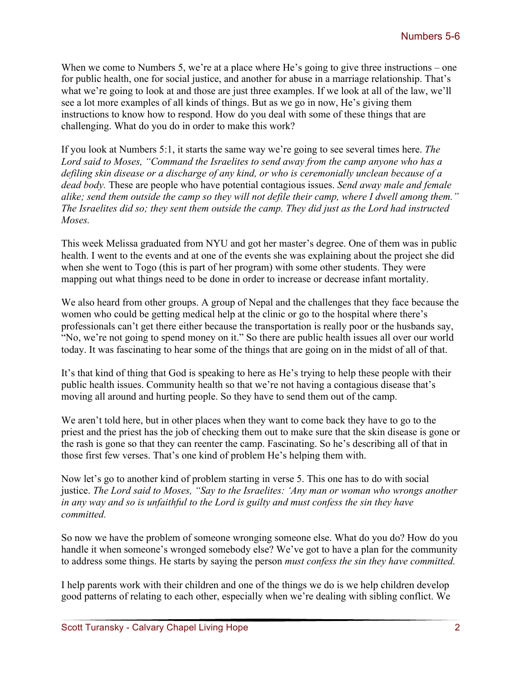When we come to Numbers 5, we're at a place where He's going to give three instructions – one for public health, one for social justice, and another for abuse in a marriage relationship. That's what we're going to look at and those are just three examples. If we look at all of the law, we'll see a lot more examples of all kinds of things. But as we go in now, He's giving them instructions to know how to respond. How do you deal with some of these things that are challenging. What do you do in order to make this work?

If you look at Numbers 5:1, it starts the same way we're going to see several times here. *The Lord said to Moses, "Command the Israelites to send away from the camp anyone who has a defiling skin disease or a discharge of any kind, or who is ceremonially unclean because of a dead body.* These are people who have potential contagious issues. *Send away male and female alike; send them outside the camp so they will not defile their camp, where I dwell among them." The Israelites did so; they sent them outside the camp. They did just as the Lord had instructed Moses.*

This week Melissa graduated from NYU and got her master's degree. One of them was in public health. I went to the events and at one of the events she was explaining about the project she did when she went to Togo (this is part of her program) with some other students. They were mapping out what things need to be done in order to increase or decrease infant mortality.

We also heard from other groups. A group of Nepal and the challenges that they face because the women who could be getting medical help at the clinic or go to the hospital where there's professionals can't get there either because the transportation is really poor or the husbands say, "No, we're not going to spend money on it." So there are public health issues all over our world today. It was fascinating to hear some of the things that are going on in the midst of all of that.

It's that kind of thing that God is speaking to here as He's trying to help these people with their public health issues. Community health so that we're not having a contagious disease that's moving all around and hurting people. So they have to send them out of the camp.

We aren't told here, but in other places when they want to come back they have to go to the priest and the priest has the job of checking them out to make sure that the skin disease is gone or the rash is gone so that they can reenter the camp. Fascinating. So he's describing all of that in those first few verses. That's one kind of problem He's helping them with.

Now let's go to another kind of problem starting in verse 5. This one has to do with social justice. *The Lord said to Moses, "Say to the Israelites: 'Any man or woman who wrongs another in any way and so is unfaithful to the Lord is guilty and must confess the sin they have committed.* 

So now we have the problem of someone wronging someone else. What do you do? How do you handle it when someone's wronged somebody else? We've got to have a plan for the community to address some things. He starts by saying the person *must confess the sin they have committed.* 

I help parents work with their children and one of the things we do is we help children develop good patterns of relating to each other, especially when we're dealing with sibling conflict. We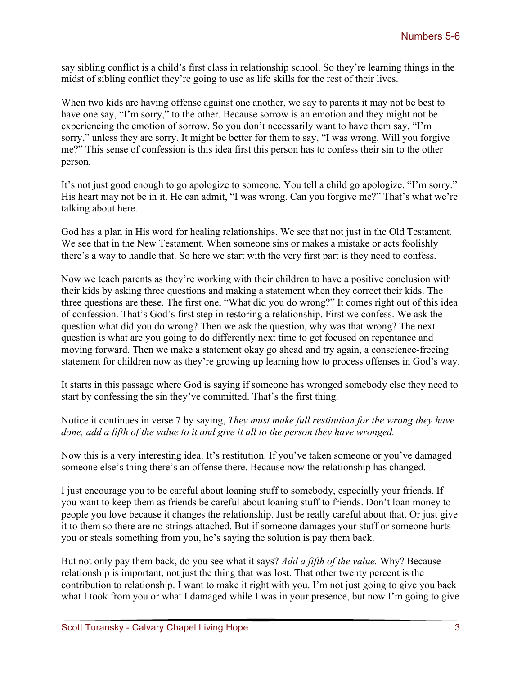say sibling conflict is a child's first class in relationship school. So they're learning things in the midst of sibling conflict they're going to use as life skills for the rest of their lives.

When two kids are having offense against one another, we say to parents it may not be best to have one say, "I'm sorry," to the other. Because sorrow is an emotion and they might not be experiencing the emotion of sorrow. So you don't necessarily want to have them say, "I'm sorry," unless they are sorry. It might be better for them to say, "I was wrong. Will you forgive me?" This sense of confession is this idea first this person has to confess their sin to the other person.

It's not just good enough to go apologize to someone. You tell a child go apologize. "I'm sorry." His heart may not be in it. He can admit, "I was wrong. Can you forgive me?" That's what we're talking about here.

God has a plan in His word for healing relationships. We see that not just in the Old Testament. We see that in the New Testament. When someone sins or makes a mistake or acts foolishly there's a way to handle that. So here we start with the very first part is they need to confess.

Now we teach parents as they're working with their children to have a positive conclusion with their kids by asking three questions and making a statement when they correct their kids. The three questions are these. The first one, "What did you do wrong?" It comes right out of this idea of confession. That's God's first step in restoring a relationship. First we confess. We ask the question what did you do wrong? Then we ask the question, why was that wrong? The next question is what are you going to do differently next time to get focused on repentance and moving forward. Then we make a statement okay go ahead and try again, a conscience-freeing statement for children now as they're growing up learning how to process offenses in God's way.

It starts in this passage where God is saying if someone has wronged somebody else they need to start by confessing the sin they've committed. That's the first thing.

## Notice it continues in verse 7 by saying, *They must make full restitution for the wrong they have done, add a fifth of the value to it and give it all to the person they have wronged.*

Now this is a very interesting idea. It's restitution. If you've taken someone or you've damaged someone else's thing there's an offense there. Because now the relationship has changed.

I just encourage you to be careful about loaning stuff to somebody, especially your friends. If you want to keep them as friends be careful about loaning stuff to friends. Don't loan money to people you love because it changes the relationship. Just be really careful about that. Or just give it to them so there are no strings attached. But if someone damages your stuff or someone hurts you or steals something from you, he's saying the solution is pay them back.

But not only pay them back, do you see what it says? *Add a fifth of the value.* Why? Because relationship is important, not just the thing that was lost. That other twenty percent is the contribution to relationship. I want to make it right with you. I'm not just going to give you back what I took from you or what I damaged while I was in your presence, but now I'm going to give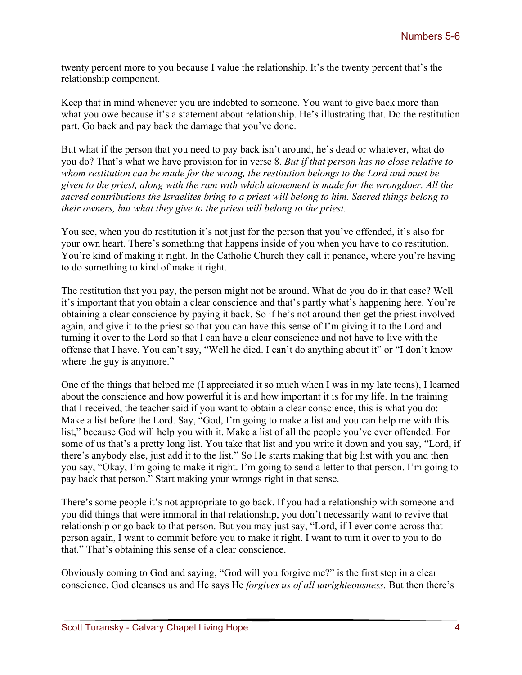twenty percent more to you because I value the relationship. It's the twenty percent that's the relationship component.

Keep that in mind whenever you are indebted to someone. You want to give back more than what you owe because it's a statement about relationship. He's illustrating that. Do the restitution part. Go back and pay back the damage that you've done.

But what if the person that you need to pay back isn't around, he's dead or whatever, what do you do? That's what we have provision for in verse 8. *But if that person has no close relative to whom restitution can be made for the wrong, the restitution belongs to the Lord and must be given to the priest, along with the ram with which atonement is made for the wrongdoer. All the sacred contributions the Israelites bring to a priest will belong to him. Sacred things belong to their owners, but what they give to the priest will belong to the priest.*

You see, when you do restitution it's not just for the person that you've offended, it's also for your own heart. There's something that happens inside of you when you have to do restitution. You're kind of making it right. In the Catholic Church they call it penance, where you're having to do something to kind of make it right.

The restitution that you pay, the person might not be around. What do you do in that case? Well it's important that you obtain a clear conscience and that's partly what's happening here. You're obtaining a clear conscience by paying it back. So if he's not around then get the priest involved again, and give it to the priest so that you can have this sense of I'm giving it to the Lord and turning it over to the Lord so that I can have a clear conscience and not have to live with the offense that I have. You can't say, "Well he died. I can't do anything about it" or "I don't know where the guy is anymore."

One of the things that helped me (I appreciated it so much when I was in my late teens), I learned about the conscience and how powerful it is and how important it is for my life. In the training that I received, the teacher said if you want to obtain a clear conscience, this is what you do: Make a list before the Lord. Say, "God, I'm going to make a list and you can help me with this list," because God will help you with it. Make a list of all the people you've ever offended. For some of us that's a pretty long list. You take that list and you write it down and you say, "Lord, if there's anybody else, just add it to the list." So He starts making that big list with you and then you say, "Okay, I'm going to make it right. I'm going to send a letter to that person. I'm going to pay back that person." Start making your wrongs right in that sense.

There's some people it's not appropriate to go back. If you had a relationship with someone and you did things that were immoral in that relationship, you don't necessarily want to revive that relationship or go back to that person. But you may just say, "Lord, if I ever come across that person again, I want to commit before you to make it right. I want to turn it over to you to do that." That's obtaining this sense of a clear conscience.

Obviously coming to God and saying, "God will you forgive me?" is the first step in a clear conscience. God cleanses us and He says He *forgives us of all unrighteousness.* But then there's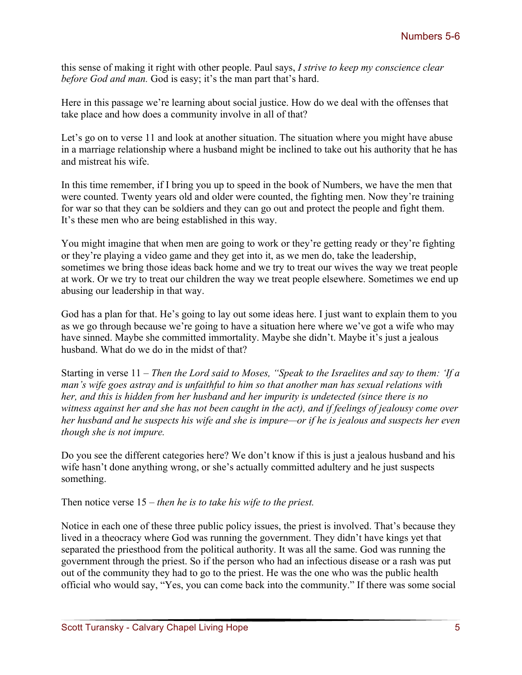this sense of making it right with other people. Paul says, *I strive to keep my conscience clear before God and man.* God is easy; it's the man part that's hard.

Here in this passage we're learning about social justice. How do we deal with the offenses that take place and how does a community involve in all of that?

Let's go on to verse 11 and look at another situation. The situation where you might have abuse in a marriage relationship where a husband might be inclined to take out his authority that he has and mistreat his wife.

In this time remember, if I bring you up to speed in the book of Numbers, we have the men that were counted. Twenty years old and older were counted, the fighting men. Now they're training for war so that they can be soldiers and they can go out and protect the people and fight them. It's these men who are being established in this way.

You might imagine that when men are going to work or they're getting ready or they're fighting or they're playing a video game and they get into it, as we men do, take the leadership, sometimes we bring those ideas back home and we try to treat our wives the way we treat people at work. Or we try to treat our children the way we treat people elsewhere. Sometimes we end up abusing our leadership in that way.

God has a plan for that. He's going to lay out some ideas here. I just want to explain them to you as we go through because we're going to have a situation here where we've got a wife who may have sinned. Maybe she committed immortality. Maybe she didn't. Maybe it's just a jealous husband. What do we do in the midst of that?

Starting in verse 11 – *Then the Lord said to Moses, "Speak to the Israelites and say to them: 'If a man's wife goes astray and is unfaithful to him so that another man has sexual relations with her, and this is hidden from her husband and her impurity is undetected (since there is no witness against her and she has not been caught in the act), and if feelings of jealousy come over her husband and he suspects his wife and she is impure—or if he is jealous and suspects her even though she is not impure.* 

Do you see the different categories here? We don't know if this is just a jealous husband and his wife hasn't done anything wrong, or she's actually committed adultery and he just suspects something.

Then notice verse 15 – *then he is to take his wife to the priest.* 

Notice in each one of these three public policy issues, the priest is involved. That's because they lived in a theocracy where God was running the government. They didn't have kings yet that separated the priesthood from the political authority. It was all the same. God was running the government through the priest. So if the person who had an infectious disease or a rash was put out of the community they had to go to the priest. He was the one who was the public health official who would say, "Yes, you can come back into the community." If there was some social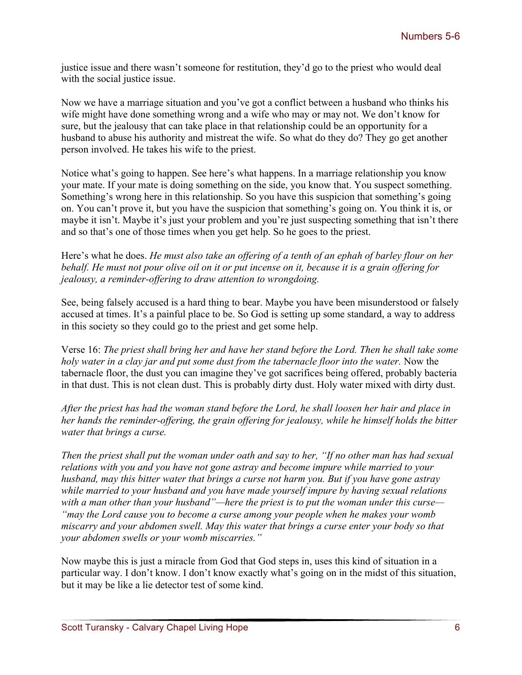justice issue and there wasn't someone for restitution, they'd go to the priest who would deal with the social justice issue.

Now we have a marriage situation and you've got a conflict between a husband who thinks his wife might have done something wrong and a wife who may or may not. We don't know for sure, but the jealousy that can take place in that relationship could be an opportunity for a husband to abuse his authority and mistreat the wife. So what do they do? They go get another person involved. He takes his wife to the priest.

Notice what's going to happen. See here's what happens. In a marriage relationship you know your mate. If your mate is doing something on the side, you know that. You suspect something. Something's wrong here in this relationship. So you have this suspicion that something's going on. You can't prove it, but you have the suspicion that something's going on. You think it is, or maybe it isn't. Maybe it's just your problem and you're just suspecting something that isn't there and so that's one of those times when you get help. So he goes to the priest.

Here's what he does. *He must also take an offering of a tenth of an ephah of barley flour on her behalf. He must not pour olive oil on it or put incense on it, because it is a grain offering for jealousy, a reminder-offering to draw attention to wrongdoing.*

See, being falsely accused is a hard thing to bear. Maybe you have been misunderstood or falsely accused at times. It's a painful place to be. So God is setting up some standard, a way to address in this society so they could go to the priest and get some help.

Verse 16: *The priest shall bring her and have her stand before the Lord. Then he shall take some holy water in a clay jar and put some dust from the tabernacle floor into the water.* Now the tabernacle floor, the dust you can imagine they've got sacrifices being offered, probably bacteria in that dust. This is not clean dust. This is probably dirty dust. Holy water mixed with dirty dust.

*After the priest has had the woman stand before the Lord, he shall loosen her hair and place in her hands the reminder-offering, the grain offering for jealousy, while he himself holds the bitter water that brings a curse.*

*Then the priest shall put the woman under oath and say to her, "If no other man has had sexual relations with you and you have not gone astray and become impure while married to your husband, may this bitter water that brings a curse not harm you. But if you have gone astray while married to your husband and you have made yourself impure by having sexual relations with a man other than your husband"—here the priest is to put the woman under this curse— "may the Lord cause you to become a curse among your people when he makes your womb miscarry and your abdomen swell. May this water that brings a curse enter your body so that your abdomen swells or your womb miscarries."*

Now maybe this is just a miracle from God that God steps in, uses this kind of situation in a particular way. I don't know. I don't know exactly what's going on in the midst of this situation, but it may be like a lie detector test of some kind.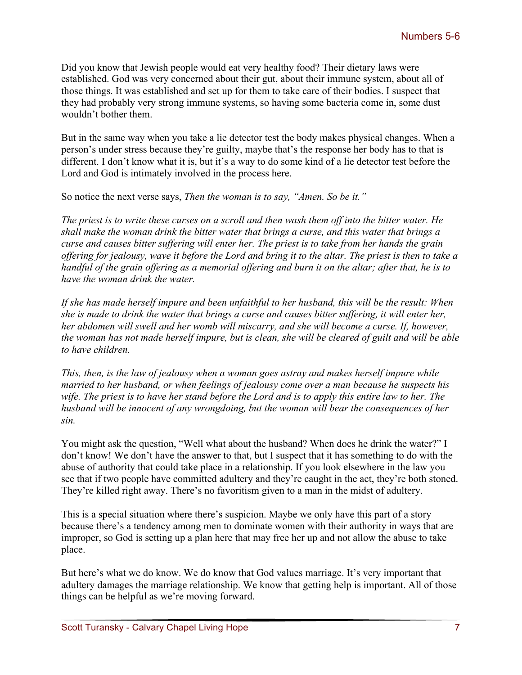Did you know that Jewish people would eat very healthy food? Their dietary laws were established. God was very concerned about their gut, about their immune system, about all of those things. It was established and set up for them to take care of their bodies. I suspect that they had probably very strong immune systems, so having some bacteria come in, some dust wouldn't bother them.

But in the same way when you take a lie detector test the body makes physical changes. When a person's under stress because they're guilty, maybe that's the response her body has to that is different. I don't know what it is, but it's a way to do some kind of a lie detector test before the Lord and God is intimately involved in the process here.

So notice the next verse says, *Then the woman is to say, "Amen. So be it."*

*The priest is to write these curses on a scroll and then wash them off into the bitter water. He shall make the woman drink the bitter water that brings a curse, and this water that brings a curse and causes bitter suffering will enter her. The priest is to take from her hands the grain offering for jealousy, wave it before the Lord and bring it to the altar. The priest is then to take a handful of the grain offering as a memorial offering and burn it on the altar; after that, he is to have the woman drink the water.*

*If she has made herself impure and been unfaithful to her husband, this will be the result: When she is made to drink the water that brings a curse and causes bitter suffering, it will enter her, her abdomen will swell and her womb will miscarry, and she will become a curse. If, however, the woman has not made herself impure, but is clean, she will be cleared of guilt and will be able to have children.*

*This, then, is the law of jealousy when a woman goes astray and makes herself impure while married to her husband, or when feelings of jealousy come over a man because he suspects his wife. The priest is to have her stand before the Lord and is to apply this entire law to her. The husband will be innocent of any wrongdoing, but the woman will bear the consequences of her sin.*

You might ask the question, "Well what about the husband? When does he drink the water?" I don't know! We don't have the answer to that, but I suspect that it has something to do with the abuse of authority that could take place in a relationship. If you look elsewhere in the law you see that if two people have committed adultery and they're caught in the act, they're both stoned. They're killed right away. There's no favoritism given to a man in the midst of adultery.

This is a special situation where there's suspicion. Maybe we only have this part of a story because there's a tendency among men to dominate women with their authority in ways that are improper, so God is setting up a plan here that may free her up and not allow the abuse to take place.

But here's what we do know. We do know that God values marriage. It's very important that adultery damages the marriage relationship. We know that getting help is important. All of those things can be helpful as we're moving forward.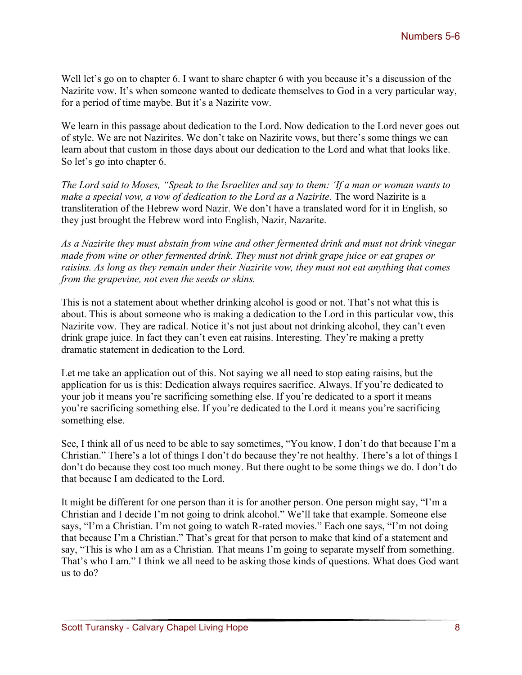Well let's go on to chapter 6. I want to share chapter 6 with you because it's a discussion of the Nazirite vow. It's when someone wanted to dedicate themselves to God in a very particular way, for a period of time maybe. But it's a Nazirite vow.

We learn in this passage about dedication to the Lord. Now dedication to the Lord never goes out of style. We are not Nazirites. We don't take on Nazirite vows, but there's some things we can learn about that custom in those days about our dedication to the Lord and what that looks like. So let's go into chapter 6.

*The Lord said to Moses, "Speak to the Israelites and say to them: 'If a man or woman wants to make a special vow, a vow of dedication to the Lord as a Nazirite. The word Nazirite is a* transliteration of the Hebrew word Nazir. We don't have a translated word for it in English, so they just brought the Hebrew word into English, Nazir, Nazarite.

*As a Nazirite they must abstain from wine and other fermented drink and must not drink vinegar made from wine or other fermented drink. They must not drink grape juice or eat grapes or raisins. As long as they remain under their Nazirite vow, they must not eat anything that comes from the grapevine, not even the seeds or skins.*

This is not a statement about whether drinking alcohol is good or not. That's not what this is about. This is about someone who is making a dedication to the Lord in this particular vow, this Nazirite vow. They are radical. Notice it's not just about not drinking alcohol, they can't even drink grape juice. In fact they can't even eat raisins. Interesting. They're making a pretty dramatic statement in dedication to the Lord.

Let me take an application out of this. Not saying we all need to stop eating raisins, but the application for us is this: Dedication always requires sacrifice. Always. If you're dedicated to your job it means you're sacrificing something else. If you're dedicated to a sport it means you're sacrificing something else. If you're dedicated to the Lord it means you're sacrificing something else.

See, I think all of us need to be able to say sometimes, "You know, I don't do that because I'm a Christian." There's a lot of things I don't do because they're not healthy. There's a lot of things I don't do because they cost too much money. But there ought to be some things we do. I don't do that because I am dedicated to the Lord.

It might be different for one person than it is for another person. One person might say, "I'm a Christian and I decide I'm not going to drink alcohol." We'll take that example. Someone else says, "I'm a Christian. I'm not going to watch R-rated movies." Each one says, "I'm not doing that because I'm a Christian." That's great for that person to make that kind of a statement and say, "This is who I am as a Christian. That means I'm going to separate myself from something. That's who I am." I think we all need to be asking those kinds of questions. What does God want us to do?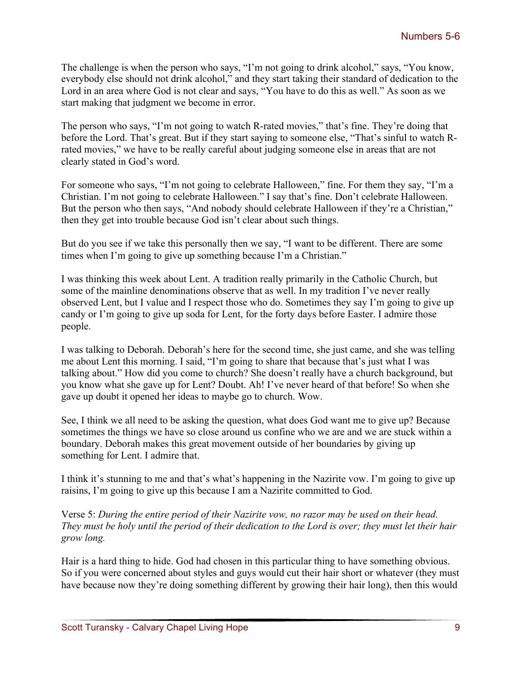The challenge is when the person who says, "I'm not going to drink alcohol," says, "You know, everybody else should not drink alcohol," and they start taking their standard of dedication to the Lord in an area where God is not clear and says, "You have to do this as well." As soon as we start making that judgment we become in error.

The person who says, "I'm not going to watch R-rated movies," that's fine. They're doing that before the Lord. That's great. But if they start saying to someone else, "That's sinful to watch Rrated movies," we have to be really careful about judging someone else in areas that are not clearly stated in God's word.

For someone who says, "I'm not going to celebrate Halloween," fine. For them they say, "I'm a Christian. I'm not going to celebrate Halloween." I say that's fine. Don't celebrate Halloween. But the person who then says, "And nobody should celebrate Halloween if they're a Christian," then they get into trouble because God isn't clear about such things.

But do you see if we take this personally then we say, "I want to be different. There are some times when I'm going to give up something because I'm a Christian."

I was thinking this week about Lent. A tradition really primarily in the Catholic Church, but some of the mainline denominations observe that as well. In my tradition I've never really observed Lent, but I value and I respect those who do. Sometimes they say I'm going to give up candy or I'm going to give up soda for Lent, for the forty days before Easter. I admire those people.

I was talking to Deborah. Deborah's here for the second time, she just came, and she was telling me about Lent this morning. I said, "I'm going to share that because that's just what I was talking about." How did you come to church? She doesn't really have a church background, but you know what she gave up for Lent? Doubt. Ah! I've never heard of that before! So when she gave up doubt it opened her ideas to maybe go to church. Wow.

See, I think we all need to be asking the question, what does God want me to give up? Because sometimes the things we have so close around us confine who we are and we are stuck within a boundary. Deborah makes this great movement outside of her boundaries by giving up something for Lent. I admire that.

I think it's stunning to me and that's what's happening in the Nazirite vow. I'm going to give up raisins, I'm going to give up this because I am a Nazirite committed to God.

Verse 5: *During the entire period of their Nazirite vow, no razor may be used on their head. They must be holy until the period of their dedication to the Lord is over; they must let their hair grow long.*

Hair is a hard thing to hide. God had chosen in this particular thing to have something obvious. So if you were concerned about styles and guys would cut their hair short or whatever (they must have because now they're doing something different by growing their hair long), then this would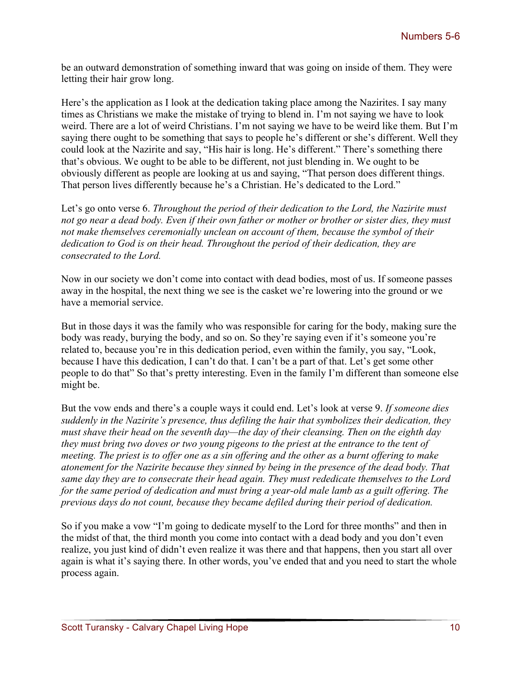be an outward demonstration of something inward that was going on inside of them. They were letting their hair grow long.

Here's the application as I look at the dedication taking place among the Nazirites. I say many times as Christians we make the mistake of trying to blend in. I'm not saying we have to look weird. There are a lot of weird Christians. I'm not saying we have to be weird like them. But I'm saying there ought to be something that says to people he's different or she's different. Well they could look at the Nazirite and say, "His hair is long. He's different." There's something there that's obvious. We ought to be able to be different, not just blending in. We ought to be obviously different as people are looking at us and saying, "That person does different things. That person lives differently because he's a Christian. He's dedicated to the Lord."

Let's go onto verse 6. *Throughout the period of their dedication to the Lord, the Nazirite must not go near a dead body. Even if their own father or mother or brother or sister dies, they must not make themselves ceremonially unclean on account of them, because the symbol of their dedication to God is on their head. Throughout the period of their dedication, they are consecrated to the Lord.*

Now in our society we don't come into contact with dead bodies, most of us. If someone passes away in the hospital, the next thing we see is the casket we're lowering into the ground or we have a memorial service.

But in those days it was the family who was responsible for caring for the body, making sure the body was ready, burying the body, and so on. So they're saying even if it's someone you're related to, because you're in this dedication period, even within the family, you say, "Look, because I have this dedication, I can't do that. I can't be a part of that. Let's get some other people to do that" So that's pretty interesting. Even in the family I'm different than someone else might be.

But the vow ends and there's a couple ways it could end. Let's look at verse 9. *If someone dies suddenly in the Nazirite's presence, thus defiling the hair that symbolizes their dedication, they must shave their head on the seventh day—the day of their cleansing. Then on the eighth day they must bring two doves or two young pigeons to the priest at the entrance to the tent of meeting. The priest is to offer one as a sin offering and the other as a burnt offering to make atonement for the Nazirite because they sinned by being in the presence of the dead body. That same day they are to consecrate their head again. They must rededicate themselves to the Lord for the same period of dedication and must bring a year-old male lamb as a guilt offering. The previous days do not count, because they became defiled during their period of dedication.*

So if you make a vow "I'm going to dedicate myself to the Lord for three months" and then in the midst of that, the third month you come into contact with a dead body and you don't even realize, you just kind of didn't even realize it was there and that happens, then you start all over again is what it's saying there. In other words, you've ended that and you need to start the whole process again.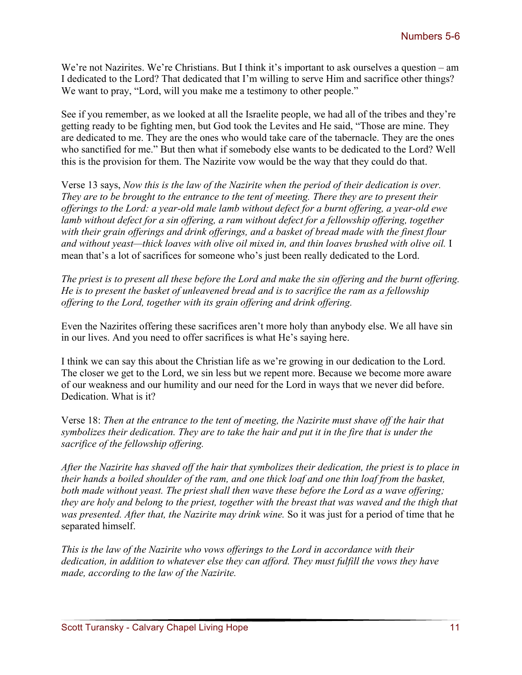We're not Nazirites. We're Christians. But I think it's important to ask ourselves a question – am I dedicated to the Lord? That dedicated that I'm willing to serve Him and sacrifice other things? We want to pray, "Lord, will you make me a testimony to other people."

See if you remember, as we looked at all the Israelite people, we had all of the tribes and they're getting ready to be fighting men, but God took the Levites and He said, "Those are mine. They are dedicated to me. They are the ones who would take care of the tabernacle. They are the ones who sanctified for me." But then what if somebody else wants to be dedicated to the Lord? Well this is the provision for them. The Nazirite vow would be the way that they could do that.

Verse 13 says, *Now this is the law of the Nazirite when the period of their dedication is over. They are to be brought to the entrance to the tent of meeting. There they are to present their offerings to the Lord: a year-old male lamb without defect for a burnt offering, a year-old ewe lamb without defect for a sin offering, a ram without defect for a fellowship offering, together with their grain offerings and drink offerings, and a basket of bread made with the finest flour and without yeast—thick loaves with olive oil mixed in, and thin loaves brushed with olive oil.* I mean that's a lot of sacrifices for someone who's just been really dedicated to the Lord.

*The priest is to present all these before the Lord and make the sin offering and the burnt offering. He is to present the basket of unleavened bread and is to sacrifice the ram as a fellowship offering to the Lord, together with its grain offering and drink offering.*

Even the Nazirites offering these sacrifices aren't more holy than anybody else. We all have sin in our lives. And you need to offer sacrifices is what He's saying here.

I think we can say this about the Christian life as we're growing in our dedication to the Lord. The closer we get to the Lord, we sin less but we repent more. Because we become more aware of our weakness and our humility and our need for the Lord in ways that we never did before. Dedication. What is it?

Verse 18: *Then at the entrance to the tent of meeting, the Nazirite must shave off the hair that symbolizes their dedication. They are to take the hair and put it in the fire that is under the sacrifice of the fellowship offering.*

*After the Nazirite has shaved off the hair that symbolizes their dedication, the priest is to place in their hands a boiled shoulder of the ram, and one thick loaf and one thin loaf from the basket, both made without yeast. The priest shall then wave these before the Lord as a wave offering; they are holy and belong to the priest, together with the breast that was waved and the thigh that was presented. After that, the Nazirite may drink wine.* So it was just for a period of time that he separated himself.

*This is the law of the Nazirite who vows offerings to the Lord in accordance with their dedication, in addition to whatever else they can afford. They must fulfill the vows they have made, according to the law of the Nazirite.*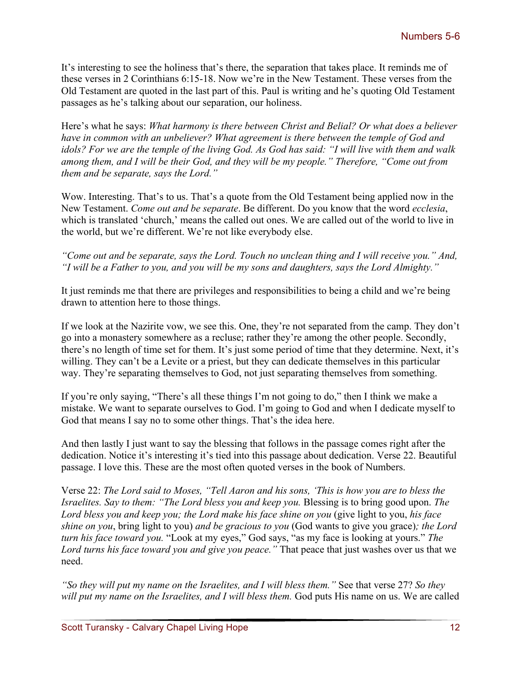It's interesting to see the holiness that's there, the separation that takes place. It reminds me of these verses in 2 Corinthians 6:15-18. Now we're in the New Testament. These verses from the Old Testament are quoted in the last part of this. Paul is writing and he's quoting Old Testament passages as he's talking about our separation, our holiness.

Here's what he says: *What harmony is there between Christ and Belial? Or what does a believer have in common with an unbeliever? What agreement is there between the temple of God and idols? For we are the temple of the living God. As God has said: "I will live with them and walk among them, and I will be their God, and they will be my people." Therefore, "Come out from them and be separate, says the Lord."*

Wow. Interesting. That's to us. That's a quote from the Old Testament being applied now in the New Testament. *Come out and be separate*. Be different. Do you know that the word *ecclesia*, which is translated 'church,' means the called out ones. We are called out of the world to live in the world, but we're different. We're not like everybody else.

*"Come out and be separate, says the Lord. Touch no unclean thing and I will receive you." And, "I will be a Father to you, and you will be my sons and daughters, says the Lord Almighty."*

It just reminds me that there are privileges and responsibilities to being a child and we're being drawn to attention here to those things.

If we look at the Nazirite vow, we see this. One, they're not separated from the camp. They don't go into a monastery somewhere as a recluse; rather they're among the other people. Secondly, there's no length of time set for them. It's just some period of time that they determine. Next, it's willing. They can't be a Levite or a priest, but they can dedicate themselves in this particular way. They're separating themselves to God, not just separating themselves from something.

If you're only saying, "There's all these things I'm not going to do," then I think we make a mistake. We want to separate ourselves to God. I'm going to God and when I dedicate myself to God that means I say no to some other things. That's the idea here.

And then lastly I just want to say the blessing that follows in the passage comes right after the dedication. Notice it's interesting it's tied into this passage about dedication. Verse 22. Beautiful passage. I love this. These are the most often quoted verses in the book of Numbers.

Verse 22: *The Lord said to Moses, "Tell Aaron and his sons, 'This is how you are to bless the Israelites. Say to them: "The Lord bless you and keep you.* Blessing is to bring good upon. *The Lord bless you and keep you; the Lord make his face shine on you* (give light to you, *his face shine on you*, bring light to you) *and be gracious to you* (God wants to give you grace)*; the Lord turn his face toward you.* "Look at my eyes," God says, "as my face is looking at yours." *The Lord turns his face toward you and give you peace."* That peace that just washes over us that we need.

*"So they will put my name on the Israelites, and I will bless them."* See that verse 27? *So they*  will put my name on the Israelites, and I will bless them. God puts His name on us. We are called